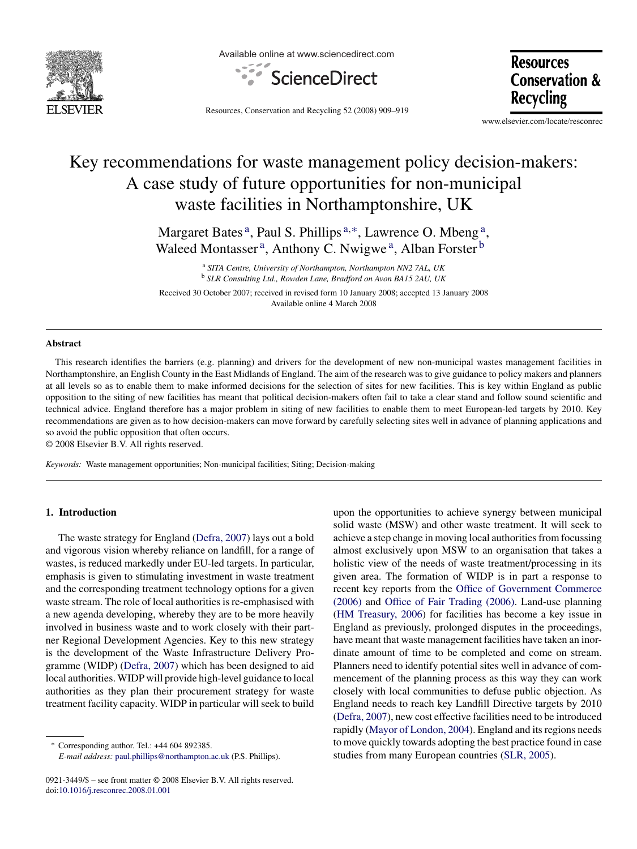

Available online at www.sciencedirect.com



**Resources Conservation & Recycling** 

Resources, Conservation and Recycling 52 (2008) 909–919

www.elsevier.com/locate/resconrec

## Key recommendations for waste management policy decision-makers: A case study of future opportunities for non-municipal waste facilities in Northamptonshire, UK

Margaret Bates<sup>a</sup>, Paul S. Phillips<sup>a,\*</sup>, Lawrence O. Mbeng<sup>a</sup>, Waleed Montasser<sup>a</sup>, Anthony C. Nwigwe<sup>a</sup>, Alban Forster<sup>b</sup>

<sup>a</sup> *SITA Centre, University of Northampton, Northampton NN2 7AL, UK* <sup>b</sup> *SLR Consulting Ltd., Rowden Lane, Bradford on Avon BA15 2AU, UK*

Received 30 October 2007; received in revised form 10 January 2008; accepted 13 January 2008 Available online 4 March 2008

### **Abstract**

This research identifies the barriers (e.g. planning) and drivers for the development of new non-municipal wastes management facilities in Northamptonshire, an English County in the East Midlands of England. The aim of the research was to give guidance to policy makers and planners at all levels so as to enable them to make informed decisions for the selection of sites for new facilities. This is key within England as public opposition to the siting of new facilities has meant that political decision-makers often fail to take a clear stand and follow sound scientific and technical advice. England therefore has a major problem in siting of new facilities to enable them to meet European-led targets by 2010. Key recommendations are given as to how decision-makers can move forward by carefully selecting sites well in advance of planning applications and so avoid the public opposition that often occurs.

© 2008 Elsevier B.V. All rights reserved.

*Keywords:* Waste management opportunities; Non-municipal facilities; Siting; Decision-making

## **1. Introduction**

The waste strategy for England [\(Defra, 2007\)](#page--1-0) lays out a bold and vigorous vision whereby reliance on landfill, for a range of wastes, is reduced markedly under EU-led targets. In particular, emphasis is given to stimulating investment in waste treatment and the corresponding treatment technology options for a given waste stream. The role of local authorities is re-emphasised with a new agenda developing, whereby they are to be more heavily involved in business waste and to work closely with their partner Regional Development Agencies. Key to this new strategy is the development of the Waste Infrastructure Delivery Programme (WIDP) ([Defra, 2007\)](#page--1-0) which has been designed to aid local authorities. WIDP will provide high-level guidance to local authorities as they plan their procurement strategy for waste treatment facility capacity. WIDP in particular will seek to build

Corresponding author. Tel.: +44 604 892385.

*E-mail address:* [paul.phillips@northampton.ac.uk](mailto:paul.phillips@northampton.ac.uk) (P.S. Phillips).

0921-3449/\$ – see front matter © 2008 Elsevier B.V. All rights reserved. doi[:10.1016/j.resconrec.2008.01.001](dx.doi.org/10.1016/j.resconrec.2008.01.001)

upon the opportunities to achieve synergy between municipal solid waste (MSW) and other waste treatment. It will seek to achieve a step change in moving local authorities from focussing almost exclusively upon MSW to an organisation that takes a holistic view of the needs of waste treatment/processing in its given area. The formation of WIDP is in part a response to recent key reports from the [Office of Government Commerce](#page--1-0) [\(2006\)](#page--1-0) and [Office of Fair Trading \(2006\).](#page--1-0) Land-use planning ([HM Treasury, 2006\)](#page--1-0) for facilities has become a key issue in England as previously, prolonged disputes in the proceedings, have meant that waste management facilities have taken an inordinate amount of time to be completed and come on stream. Planners need to identify potential sites well in advance of commencement of the planning process as this way they can work closely with local communities to defuse public objection. As England needs to reach key Landfill Directive targets by 2010 ([Defra, 2007\),](#page--1-0) new cost effective facilities need to be introduced rapidly [\(Mayor of London, 2004\).](#page--1-0) England and its regions needs to move quickly towards adopting the best practice found in case studies from many European countries [\(SLR, 2005\).](#page--1-0)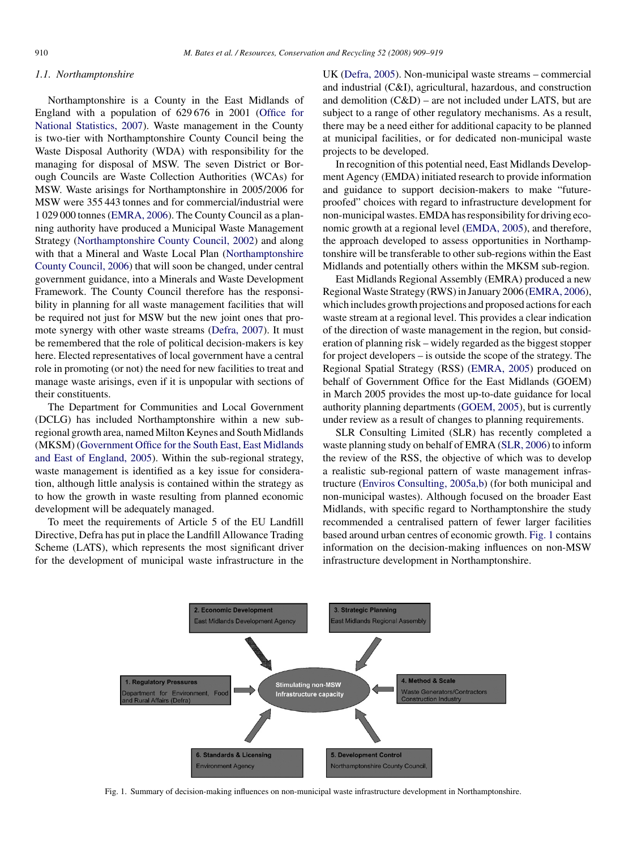### *1.1. Northamptonshire*

Northamptonshire is a County in the East Midlands of England with a population of 629 676 in 2001 ([Office for](#page--1-0) [National Statistics, 2007\).](#page--1-0) Waste management in the County is two-tier with Northamptonshire County Council being the Waste Disposal Authority (WDA) with responsibility for the managing for disposal of MSW. The seven District or Borough Councils are Waste Collection Authorities (WCAs) for MSW. Waste arisings for Northamptonshire in 2005/2006 for MSW were 355 443 tonnes and for commercial/industrial were 1 029 000 tonnes ([EMRA, 2006\).](#page--1-0) The County Council as a planning authority have produced a Municipal Waste Management Strategy [\(Northamptonshire County Council, 2002\)](#page--1-0) and along with that a Mineral and Waste Local Plan [\(Northamptonshire](#page--1-0) [County Council, 2006\)](#page--1-0) that will soon be changed, under central government guidance, into a Minerals and Waste Development Framework. The County Council therefore has the responsibility in planning for all waste management facilities that will be required not just for MSW but the new joint ones that promote synergy with other waste streams ([Defra, 2007\).](#page--1-0) It must be remembered that the role of political decision-makers is key here. Elected representatives of local government have a central role in promoting (or not) the need for new facilities to treat and manage waste arisings, even if it is unpopular with sections of their constituents.

The Department for Communities and Local Government (DCLG) has included Northamptonshire within a new subregional growth area, named Milton Keynes and South Midlands (MKSM) [\(Government Office for the South East, East Midlands](#page--1-0) [and East of England, 2005\).](#page--1-0) Within the sub-regional strategy, waste management is identified as a key issue for consideration, although little analysis is contained within the strategy as to how the growth in waste resulting from planned economic development will be adequately managed.

To meet the requirements of Article 5 of the EU Landfill Directive, Defra has put in place the Landfill Allowance Trading Scheme (LATS), which represents the most significant driver for the development of municipal waste infrastructure in the

UK ([Defra, 2005\).](#page--1-0) Non-municipal waste streams – commercial and industrial (C&I), agricultural, hazardous, and construction and demolition (C&D) – are not included under LATS, but are subject to a range of other regulatory mechanisms. As a result, there may be a need either for additional capacity to be planned at municipal facilities, or for dedicated non-municipal waste projects to be developed.

In recognition of this potential need, East Midlands Development Agency (EMDA) initiated research to provide information and guidance to support decision-makers to make "futureproofed" choices with regard to infrastructure development for non-municipal wastes. EMDA has responsibility for driving economic growth at a regional level ([EMDA, 2005\),](#page--1-0) and therefore, the approach developed to assess opportunities in Northamptonshire will be transferable to other sub-regions within the East Midlands and potentially others within the MKSM sub-region.

East Midlands Regional Assembly (EMRA) produced a new Regional Waste Strategy (RWS) in January 2006 [\(EMRA, 2006\),](#page--1-0) which includes growth projections and proposed actions for each waste stream at a regional level. This provides a clear indication of the direction of waste management in the region, but consideration of planning risk – widely regarded as the biggest stopper for project developers – is outside the scope of the strategy. The Regional Spatial Strategy (RSS) [\(EMRA, 2005\)](#page--1-0) produced on behalf of Government Office for the East Midlands (GOEM) in March 2005 provides the most up-to-date guidance for local authority planning departments [\(GOEM, 2005\),](#page--1-0) but is currently under review as a result of changes to planning requirements.

SLR Consulting Limited (SLR) has recently completed a waste planning study on behalf of EMRA ([SLR, 2006\)](#page--1-0) to inform the review of the RSS, the objective of which was to develop a realistic sub-regional pattern of waste management infrastructure ([Enviros Consulting, 2005a,b\)](#page--1-0) (for both municipal and non-municipal wastes). Although focused on the broader East Midlands, with specific regard to Northamptonshire the study recommended a centralised pattern of fewer larger facilities based around urban centres of economic growth. Fig. 1 contains information on the decision-making influences on non-MSW infrastructure development in Northamptonshire.



Fig. 1. Summary of decision-making influences on non-municipal waste infrastructure development in Northamptonshire.